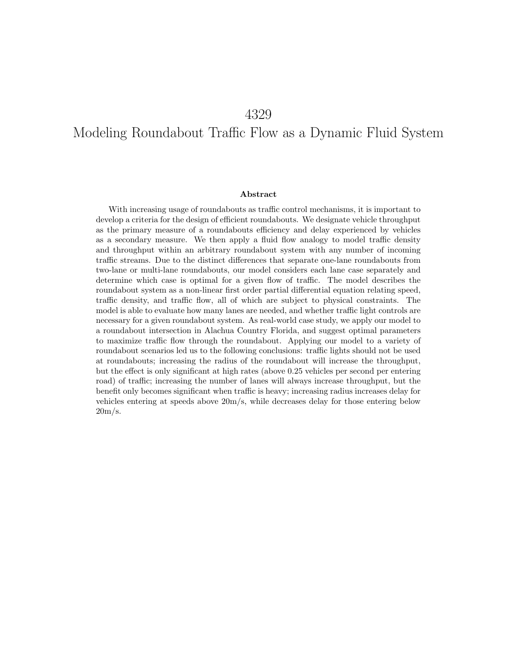# Modeling Roundabout Traffic Flow as a Dynamic Fluid System

#### Abstract

With increasing usage of roundabouts as traffic control mechanisms, it is important to develop a criteria for the design of efficient roundabouts. We designate vehicle throughput as the primary measure of a roundabouts efficiency and delay experienced by vehicles as a secondary measure. We then apply a fluid flow analogy to model traffic density and throughput within an arbitrary roundabout system with any number of incoming traffic streams. Due to the distinct differences that separate one-lane roundabouts from two-lane or multi-lane roundabouts, our model considers each lane case separately and determine which case is optimal for a given flow of traffic. The model describes the roundabout system as a non-linear first order partial differential equation relating speed, traffic density, and traffic flow, all of which are subject to physical constraints. The model is able to evaluate how many lanes are needed, and whether traffic light controls are necessary for a given roundabout system. As real-world case study, we apply our model to a roundabout intersection in Alachua Country Florida, and suggest optimal parameters to maximize traffic flow through the roundabout. Applying our model to a variety of roundabout scenarios led us to the following conclusions: traffic lights should not be used at roundabouts; increasing the radius of the roundabout will increase the throughput, but the effect is only significant at high rates (above 0.25 vehicles per second per entering road) of traffic; increasing the number of lanes will always increase throughput, but the benefit only becomes significant when traffic is heavy; increasing radius increases delay for vehicles entering at speeds above 20m/s, while decreases delay for those entering below  $20m/s$ .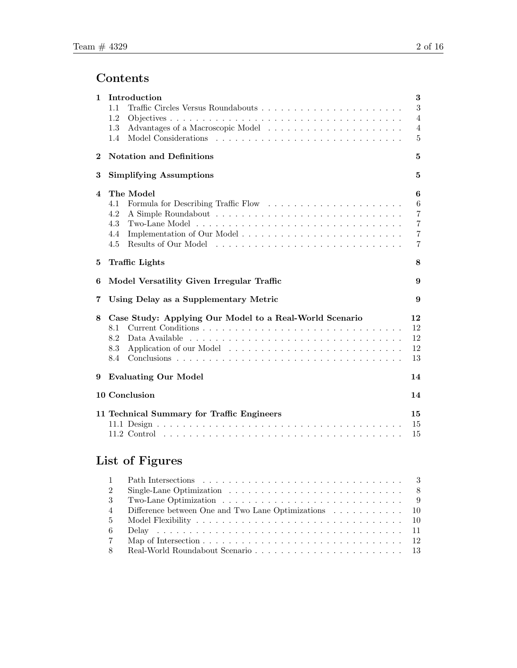# Contents

| 1                       | Introduction                                            | $\bf{3}$       |  |  |  |  |
|-------------------------|---------------------------------------------------------|----------------|--|--|--|--|
|                         | 1.1                                                     | $\sqrt{3}$     |  |  |  |  |
|                         | 1.2                                                     | 4              |  |  |  |  |
|                         | 1.3                                                     | 4              |  |  |  |  |
|                         | 1.4                                                     | 5              |  |  |  |  |
| $\bf{2}$                | <b>Notation and Definitions</b><br>5                    |                |  |  |  |  |
| 3                       | <b>Simplifying Assumptions</b>                          | 5              |  |  |  |  |
| $\overline{\mathbf{4}}$ | The Model                                               | 6              |  |  |  |  |
|                         | 4.1                                                     | $\,6$          |  |  |  |  |
|                         | 4.2                                                     | $\overline{7}$ |  |  |  |  |
|                         | 4.3                                                     | $\overline{7}$ |  |  |  |  |
|                         | 4.4                                                     | $\overline{7}$ |  |  |  |  |
|                         | 4.5                                                     | 7              |  |  |  |  |
| 5                       | <b>Traffic Lights</b><br>8                              |                |  |  |  |  |
| 6                       | Model Versatility Given Irregular Traffic<br>9          |                |  |  |  |  |
| 7                       | Using Delay as a Supplementary Metric<br>9              |                |  |  |  |  |
| 8                       | Case Study: Applying Our Model to a Real-World Scenario | 12             |  |  |  |  |
|                         | 8.1                                                     | 12             |  |  |  |  |
|                         | 8.2                                                     | 12             |  |  |  |  |
|                         | 8.3                                                     | $12\,$         |  |  |  |  |
|                         | 8.4                                                     | 13             |  |  |  |  |
| 9                       | <b>Evaluating Our Model</b>                             | 14             |  |  |  |  |
|                         | 10 Conclusion                                           | 14             |  |  |  |  |
|                         | 11 Technical Summary for Traffic Engineers<br>15        |                |  |  |  |  |
|                         |                                                         | 15             |  |  |  |  |
|                         |                                                         |                |  |  |  |  |
|                         |                                                         | 15             |  |  |  |  |

# List of Figures

| $\mathbf{1}$   |                                                      |  |
|----------------|------------------------------------------------------|--|
| 2              |                                                      |  |
| -3             |                                                      |  |
| $\overline{4}$ | Difference between One and Two Lane Optimizations 10 |  |
|                |                                                      |  |
| -6             |                                                      |  |
| $\overline{7}$ |                                                      |  |
| -8             |                                                      |  |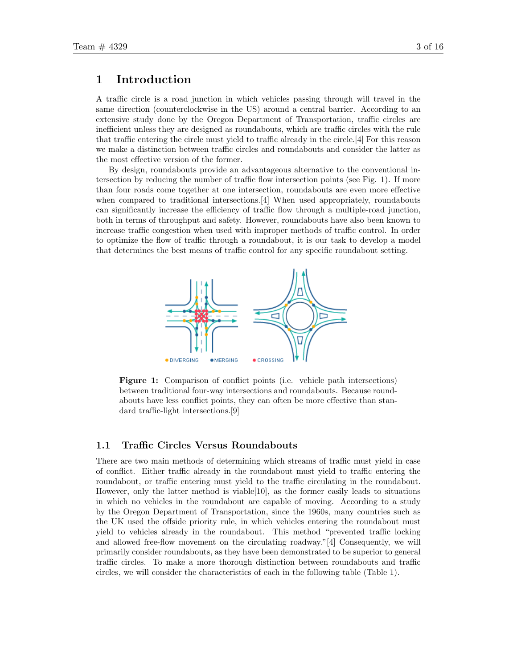### 1 Introduction

A traffic circle is a road junction in which vehicles passing through will travel in the same direction (counterclockwise in the US) around a central barrier. According to an extensive study done by the Oregon Department of Transportation, traffic circles are inefficient unless they are designed as roundabouts, which are traffic circles with the rule that traffic entering the circle must yield to traffic already in the circle.[4] For this reason we make a distinction between traffic circles and roundabouts and consider the latter as the most effective version of the former.

By design, roundabouts provide an advantageous alternative to the conventional intersection by reducing the number of traffic flow intersection points (see Fig. 1). If more than four roads come together at one intersection, roundabouts are even more effective when compared to traditional intersections. [4] When used appropriately, roundabouts can significantly increase the efficiency of traffic flow through a multiple-road junction, both in terms of throughput and safety. However, roundabouts have also been known to increase traffic congestion when used with improper methods of traffic control. In order to optimize the flow of traffic through a roundabout, it is our task to develop a model that determines the best means of traffic control for any specific roundabout setting.



Figure 1: Comparison of conflict points (i.e. vehicle path intersections) between traditional four-way intersections and roundabouts. Because roundabouts have less conflict points, they can often be more effective than standard traffic-light intersections.[9]

#### 1.1 Traffic Circles Versus Roundabouts

There are two main methods of determining which streams of traffic must yield in case of conflict. Either traffic already in the roundabout must yield to traffic entering the roundabout, or traffic entering must yield to the traffic circulating in the roundabout. However, only the latter method is viable[10], as the former easily leads to situations in which no vehicles in the roundabout are capable of moving. According to a study by the Oregon Department of Transportation, since the 1960s, many countries such as the UK used the offside priority rule, in which vehicles entering the roundabout must yield to vehicles already in the roundabout. This method "prevented traffic locking and allowed free-flow movement on the circulating roadway."[4] Consequently, we will primarily consider roundabouts, as they have been demonstrated to be superior to general traffic circles. To make a more thorough distinction between roundabouts and traffic circles, we will consider the characteristics of each in the following table (Table 1).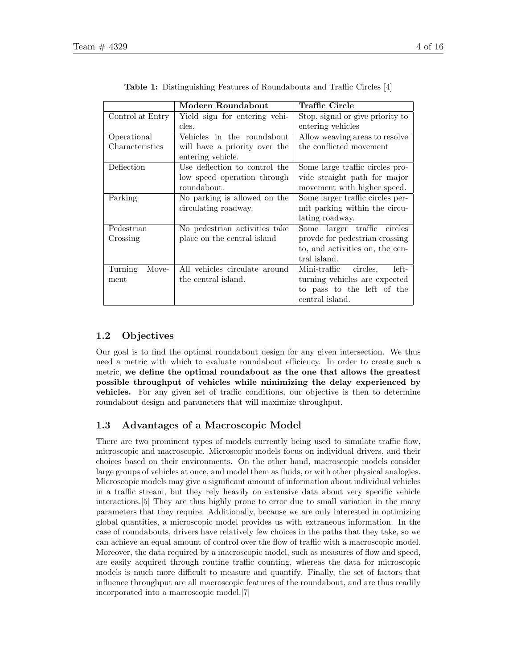|                  | Modern Roundabout             | Traffic Circle                    |
|------------------|-------------------------------|-----------------------------------|
| Control at Entry | Yield sign for entering vehi- | Stop, signal or give priority to  |
|                  | cles.                         | entering vehicles                 |
| Operational      | Vehicles in the roundabout    | Allow weaving areas to resolve    |
| Characteristics  | will have a priority over the | the conflicted movement           |
|                  | entering vehicle.             |                                   |
| Deflection       | Use deflection to control the | Some large traffic circles pro-   |
|                  | low speed operation through   | vide straight path for major      |
|                  | roundabout.                   | movement with higher speed.       |
| Parking          | No parking is allowed on the  | Some larger traffic circles per-  |
|                  | circulating roadway.          | mit parking within the circu-     |
|                  |                               | lating roadway.                   |
| Pedestrian       | No pedestrian activities take | Some larger traffic circles       |
| Crossing         | place on the central island   | provide for pedestrian crossing   |
|                  |                               | to, and activities on, the cen-   |
|                  |                               | tral island.                      |
| Turning<br>Move- | All vehicles circulate around | circles,<br>Mini-traffic<br>left- |
| ment             | the central island.           | turning vehicles are expected     |
|                  |                               | to pass to the left of the        |
|                  |                               | central island.                   |

Table 1: Distinguishing Features of Roundabouts and Traffic Circles [4]

### 1.2 Objectives

Our goal is to find the optimal roundabout design for any given intersection. We thus need a metric with which to evaluate roundabout efficiency. In order to create such a metric, we define the optimal roundabout as the one that allows the greatest possible throughput of vehicles while minimizing the delay experienced by vehicles. For any given set of traffic conditions, our objective is then to determine roundabout design and parameters that will maximize throughput.

### 1.3 Advantages of a Macroscopic Model

There are two prominent types of models currently being used to simulate traffic flow, microscopic and macroscopic. Microscopic models focus on individual drivers, and their choices based on their environments. On the other hand, macroscopic models consider large groups of vehicles at once, and model them as fluids, or with other physical analogies. Microscopic models may give a significant amount of information about individual vehicles in a traffic stream, but they rely heavily on extensive data about very specific vehicle interactions.[5] They are thus highly prone to error due to small variation in the many parameters that they require. Additionally, because we are only interested in optimizing global quantities, a microscopic model provides us with extraneous information. In the case of roundabouts, drivers have relatively few choices in the paths that they take, so we can achieve an equal amount of control over the flow of traffic with a macroscopic model. Moreover, the data required by a macroscopic model, such as measures of flow and speed, are easily acquired through routine traffic counting, whereas the data for microscopic models is much more difficult to measure and quantify. Finally, the set of factors that influence throughput are all macroscopic features of the roundabout, and are thus readily incorporated into a macroscopic model.[7]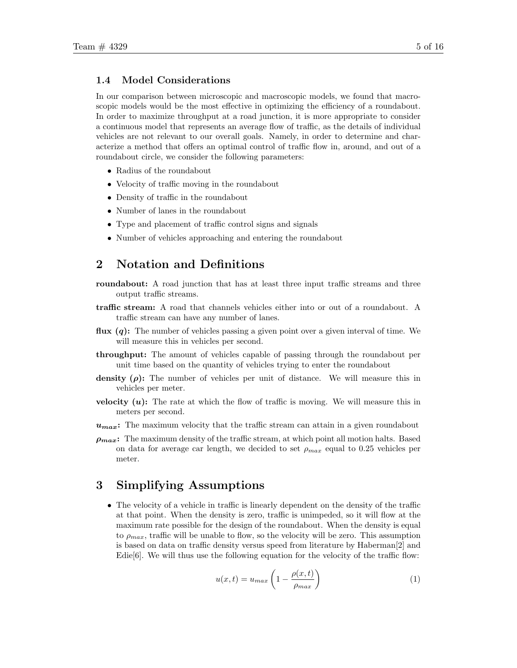#### 1.4 Model Considerations

In our comparison between microscopic and macroscopic models, we found that macroscopic models would be the most effective in optimizing the efficiency of a roundabout. In order to maximize throughput at a road junction, it is more appropriate to consider a continuous model that represents an average flow of traffic, as the details of individual vehicles are not relevant to our overall goals. Namely, in order to determine and characterize a method that offers an optimal control of traffic flow in, around, and out of a roundabout circle, we consider the following parameters:

- Radius of the roundabout
- Velocity of traffic moving in the roundabout
- Density of traffic in the roundabout
- Number of lanes in the roundabout
- Type and placement of traffic control signs and signals
- Number of vehicles approaching and entering the roundabout

### 2 Notation and Definitions

- roundabout: A road junction that has at least three input traffic streams and three output traffic streams.
- traffic stream: A road that channels vehicles either into or out of a roundabout. A traffic stream can have any number of lanes.
- **flux**  $(q)$ : The number of vehicles passing a given point over a given interval of time. We will measure this in vehicles per second.
- throughput: The amount of vehicles capable of passing through the roundabout per unit time based on the quantity of vehicles trying to enter the roundabout
- density  $(\rho)$ : The number of vehicles per unit of distance. We will measure this in vehicles per meter.
- velocity  $(u)$ : The rate at which the flow of traffic is moving. We will measure this in meters per second.
- $u_{max}$ : The maximum velocity that the traffic stream can attain in a given roundabout
- $\rho_{max}$ : The maximum density of the traffic stream, at which point all motion halts. Based on data for average car length, we decided to set  $\rho_{max}$  equal to 0.25 vehicles per meter.

## 3 Simplifying Assumptions

• The velocity of a vehicle in traffic is linearly dependent on the density of the traffic at that point. When the density is zero, traffic is unimpeded, so it will flow at the maximum rate possible for the design of the roundabout. When the density is equal to  $\rho_{max}$ , traffic will be unable to flow, so the velocity will be zero. This assumption is based on data on traffic density versus speed from literature by Haberman[2] and Edie $[6]$ . We will thus use the following equation for the velocity of the traffic flow:

$$
u(x,t) = u_{max} \left( 1 - \frac{\rho(x,t)}{\rho_{max}} \right)
$$
 (1)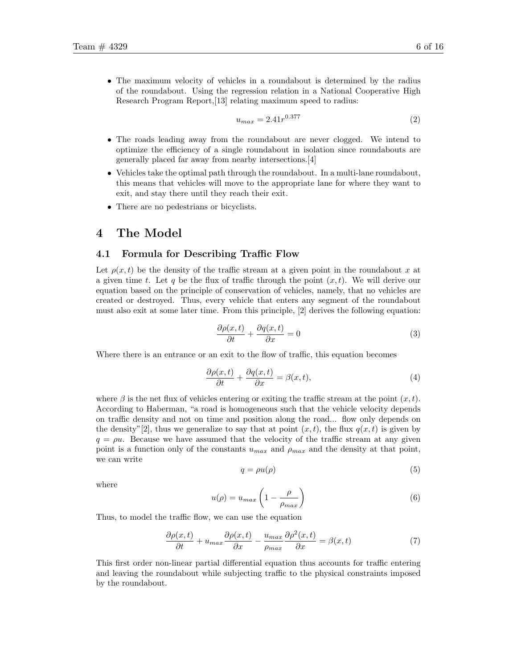• The maximum velocity of vehicles in a roundabout is determined by the radius of the roundabout. Using the regression relation in a National Cooperative High Research Program Report,[13] relating maximum speed to radius:

$$
u_{max} = 2.41r^{0.377}
$$
\n<sup>(2)</sup>

- The roads leading away from the roundabout are never clogged. We intend to optimize the efficiency of a single roundabout in isolation since roundabouts are generally placed far away from nearby intersections.[4]
- Vehicles take the optimal path through the roundabout. In a multi-lane roundabout, this means that vehicles will move to the appropriate lane for where they want to exit, and stay there until they reach their exit.
- There are no pedestrians or bicyclists.

### 4 The Model

#### 4.1 Formula for Describing Traffic Flow

Let  $\rho(x, t)$  be the density of the traffic stream at a given point in the roundabout x at a given time t. Let q be the flux of traffic through the point  $(x, t)$ . We will derive our equation based on the principle of conservation of vehicles, namely, that no vehicles are created or destroyed. Thus, every vehicle that enters any segment of the roundabout must also exit at some later time. From this principle, [2] derives the following equation:

$$
\frac{\partial \rho(x,t)}{\partial t} + \frac{\partial q(x,t)}{\partial x} = 0 \tag{3}
$$

Where there is an entrance or an exit to the flow of traffic, this equation becomes

$$
\frac{\partial \rho(x,t)}{\partial t} + \frac{\partial q(x,t)}{\partial x} = \beta(x,t),\tag{4}
$$

where  $\beta$  is the net flux of vehicles entering or exiting the traffic stream at the point  $(x, t)$ . According to Haberman, "a road is homogeneous such that the vehicle velocity depends on traffic density and not on time and position along the road... flow only depends on the density"[2], thus we generalize to say that at point  $(x, t)$ , the flux  $q(x, t)$  is given by  $q = \rho u$ . Because we have assumed that the velocity of the traffic stream at any given point is a function only of the constants  $u_{max}$  and  $\rho_{max}$  and the density at that point, we can write

$$
q = \rho u(\rho) \tag{5}
$$

where

$$
u(\rho) = u_{max} \left( 1 - \frac{\rho}{\rho_{max}} \right) \tag{6}
$$

Thus, to model the traffic flow, we can use the equation

$$
\frac{\partial \rho(x,t)}{\partial t} + u_{max} \frac{\partial \rho(x,t)}{\partial x} - \frac{u_{max}}{\rho_{max}} \frac{\partial \rho^2(x,t)}{\partial x} = \beta(x,t) \tag{7}
$$

This first order non-linear partial differential equation thus accounts for traffic entering and leaving the roundabout while subjecting traffic to the physical constraints imposed by the roundabout.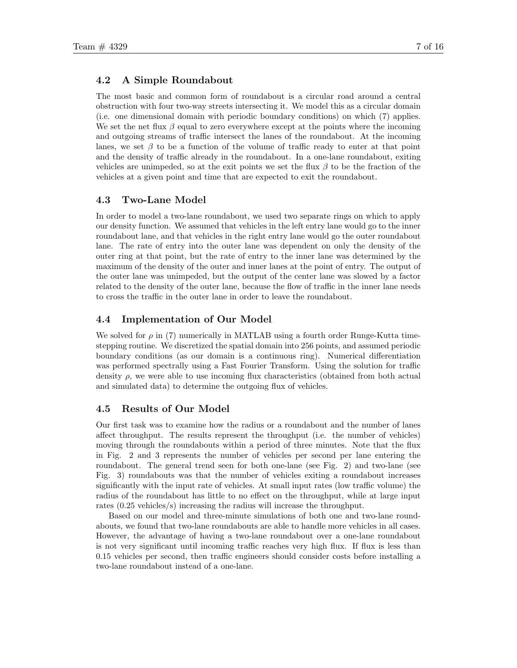#### 4.2 A Simple Roundabout

The most basic and common form of roundabout is a circular road around a central obstruction with four two-way streets intersecting it. We model this as a circular domain (i.e. one dimensional domain with periodic boundary conditions) on which (7) applies. We set the net flux  $\beta$  equal to zero everywhere except at the points where the incoming and outgoing streams of traffic intersect the lanes of the roundabout. At the incoming lanes, we set  $\beta$  to be a function of the volume of traffic ready to enter at that point and the density of traffic already in the roundabout. In a one-lane roundabout, exiting vehicles are unimpeded, so at the exit points we set the flux  $\beta$  to be the fraction of the vehicles at a given point and time that are expected to exit the roundabout.

#### 4.3 Two-Lane Model

In order to model a two-lane roundabout, we used two separate rings on which to apply our density function. We assumed that vehicles in the left entry lane would go to the inner roundabout lane, and that vehicles in the right entry lane would go the outer roundabout lane. The rate of entry into the outer lane was dependent on only the density of the outer ring at that point, but the rate of entry to the inner lane was determined by the maximum of the density of the outer and inner lanes at the point of entry. The output of the outer lane was unimpeded, but the output of the center lane was slowed by a factor related to the density of the outer lane, because the flow of traffic in the inner lane needs to cross the traffic in the outer lane in order to leave the roundabout.

#### 4.4 Implementation of Our Model

We solved for  $\rho$  in (7) numerically in MATLAB using a fourth order Runge-Kutta timestepping routine. We discretized the spatial domain into 256 points, and assumed periodic boundary conditions (as our domain is a continuous ring). Numerical differentiation was performed spectrally using a Fast Fourier Transform. Using the solution for traffic density  $\rho$ , we were able to use incoming flux characteristics (obtained from both actual and simulated data) to determine the outgoing flux of vehicles.

#### 4.5 Results of Our Model

Our first task was to examine how the radius or a roundabout and the number of lanes affect throughput. The results represent the throughput (i.e. the number of vehicles) moving through the roundabouts within a period of three minutes. Note that the flux in Fig. 2 and 3 represents the number of vehicles per second per lane entering the roundabout. The general trend seen for both one-lane (see Fig. 2) and two-lane (see Fig. 3) roundabouts was that the number of vehicles exiting a roundabout increases significantly with the input rate of vehicles. At small input rates (low traffic volume) the radius of the roundabout has little to no effect on the throughput, while at large input rates (0.25 vehicles/s) increasing the radius will increase the throughput.

Based on our model and three-minute simulations of both one and two-lane roundabouts, we found that two-lane roundabouts are able to handle more vehicles in all cases. However, the advantage of having a two-lane roundabout over a one-lane roundabout is not very significant until incoming traffic reaches very high flux. If flux is less than 0.15 vehicles per second, then traffic engineers should consider costs before installing a two-lane roundabout instead of a one-lane.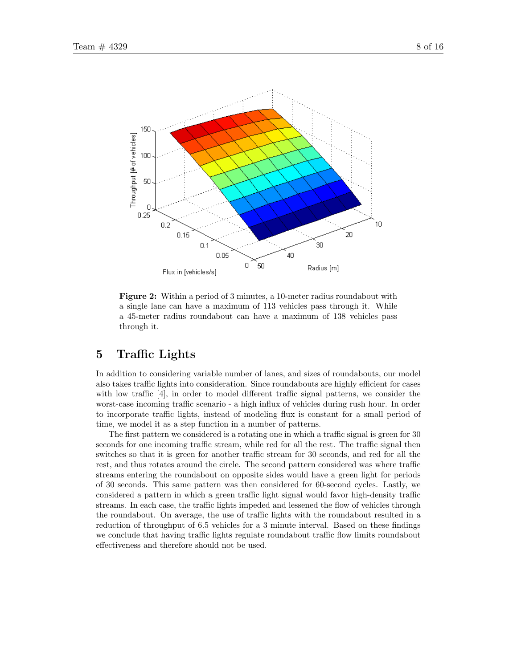



Figure 2: Within a period of 3 minutes, a 10-meter radius roundabout with a single lane can have a maximum of 113 vehicles pass through it. While a 45-meter radius roundabout can have a maximum of 138 vehicles pass through it.

## 5 Traffic Lights

In addition to considering variable number of lanes, and sizes of roundabouts, our model also takes traffic lights into consideration. Since roundabouts are highly efficient for cases with low traffic [4], in order to model different traffic signal patterns, we consider the worst-case incoming traffic scenario - a high influx of vehicles during rush hour. In order to incorporate traffic lights, instead of modeling flux is constant for a small period of time, we model it as a step function in a number of patterns.

The first pattern we considered is a rotating one in which a traffic signal is green for 30 seconds for one incoming traffic stream, while red for all the rest. The traffic signal then switches so that it is green for another traffic stream for 30 seconds, and red for all the rest, and thus rotates around the circle. The second pattern considered was where traffic streams entering the roundabout on opposite sides would have a green light for periods of 30 seconds. This same pattern was then considered for 60-second cycles. Lastly, we considered a pattern in which a green traffic light signal would favor high-density traffic streams. In each case, the traffic lights impeded and lessened the flow of vehicles through the roundabout. On average, the use of traffic lights with the roundabout resulted in a reduction of throughput of 6.5 vehicles for a 3 minute interval. Based on these findings we conclude that having traffic lights regulate roundabout traffic flow limits roundabout effectiveness and therefore should not be used.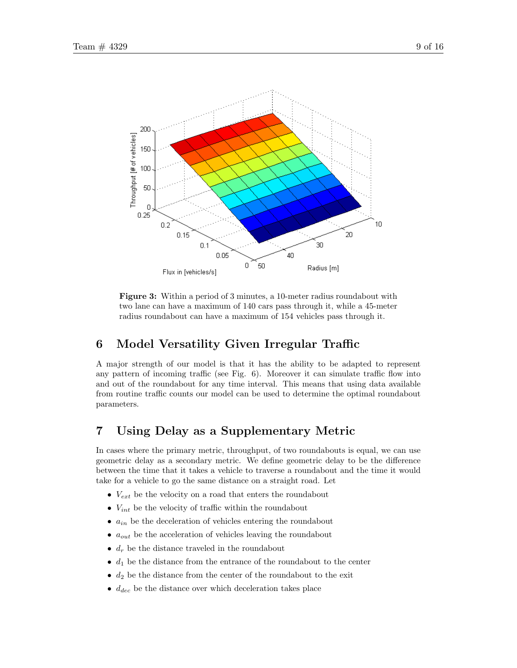

Figure 3: Within a period of 3 minutes, a 10-meter radius roundabout with two lane can have a maximum of 140 cars pass through it, while a 45-meter radius roundabout can have a maximum of 154 vehicles pass through it.

# 6 Model Versatility Given Irregular Traffic

A major strength of our model is that it has the ability to be adapted to represent any pattern of incoming traffic (see Fig. 6). Moreover it can simulate traffic flow into and out of the roundabout for any time interval. This means that using data available from routine traffic counts our model can be used to determine the optimal roundabout parameters.

# 7 Using Delay as a Supplementary Metric

In cases where the primary metric, throughput, of two roundabouts is equal, we can use geometric delay as a secondary metric. We define geometric delay to be the difference between the time that it takes a vehicle to traverse a roundabout and the time it would take for a vehicle to go the same distance on a straight road. Let

- $V_{ext}$  be the velocity on a road that enters the roundabout
- $V_{int}$  be the velocity of traffic within the roundabout
- $a_{in}$  be the deceleration of vehicles entering the roundabout
- $\bullet$   $a_{out}$  be the acceleration of vehicles leaving the roundabout
- $d_r$  be the distance traveled in the roundabout
- $d_1$  be the distance from the entrance of the roundabout to the center
- $\bullet$   $d_2$  be the distance from the center of the roundabout to the exit
- $\bullet$   $d_{dec}$  be the distance over which deceleration takes place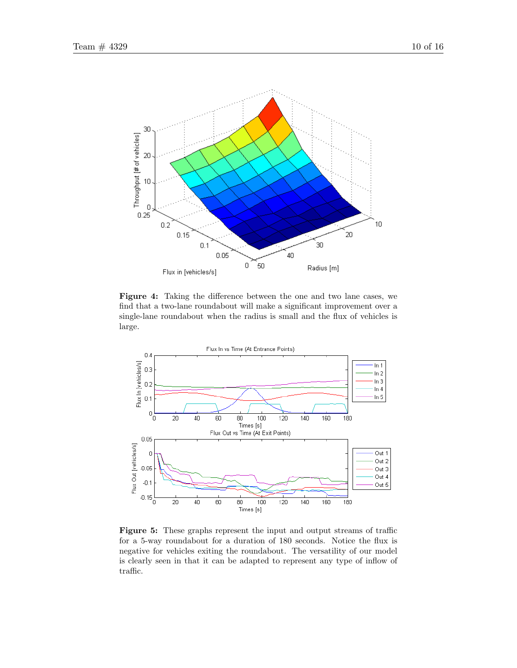

Figure 4: Taking the difference between the one and two lane cases, we find that a two-lane roundabout will make a significant improvement over a single-lane roundabout when the radius is small and the flux of vehicles is large.



Figure 5: These graphs represent the input and output streams of traffic for a 5-way roundabout for a duration of 180 seconds. Notice the flux is negative for vehicles exiting the roundabout. The versatility of our model is clearly seen in that it can be adapted to represent any type of inflow of traffic.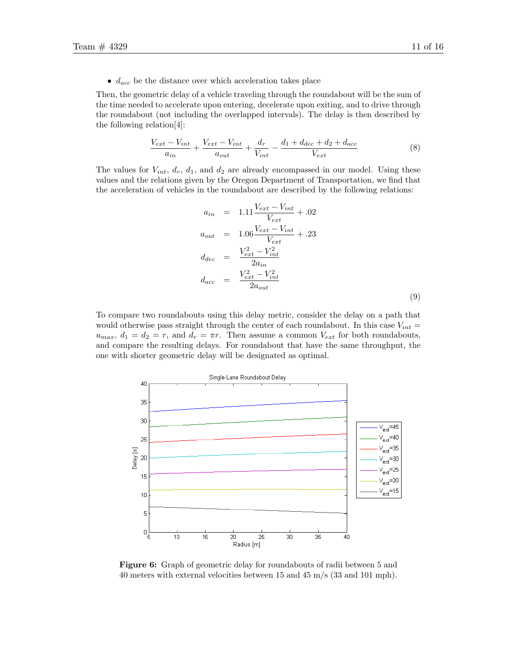$\bullet$   $d_{acc}$  be the distance over which acceleration takes place

Then, the geometric delay of a vehicle traveling through the roundabout will be the sum of the time needed to accelerate upon entering, decelerate upon exiting, and to drive through the roundabout (not including the overlapped intervals). The delay is then described by the following relation[4]:

$$
\frac{V_{ext} - V_{int}}{a_{in}} + \frac{V_{ext} - V_{int}}{a_{out}} + \frac{d_r}{V_{int}} - \frac{d_1 + d_{dec} + d_2 + d_{acc}}{V_{ext}} \tag{8}
$$

The values for  $V_{int}$ ,  $d_r$ ,  $d_1$ , and  $d_2$  are already encompassed in our model. Using these values and the relations given by the Oregon Department of Transportation, we find that the acceleration of vehicles in the roundabout are described by the following relations:

$$
a_{in} = 1.11 \frac{V_{ext} - V_{int}}{V_{ext}} + .02
$$
  
\n
$$
a_{out} = 1.06 \frac{V_{ext} - V_{int}}{V_{ext}} + .23
$$
  
\n
$$
d_{dec} = \frac{V_{ext}^2 - V_{int}^2}{2a_{in}}
$$
  
\n
$$
d_{acc} = \frac{V_{ext}^2 - V_{int}^2}{2a_{out}}
$$
  
\n(9)

To compare two roundabouts using this delay metric, consider the delay on a path that would otherwise pass straight through the center of each roundabout. In this case  $V_{int}$  =  $u_{max}$ ,  $d_1 = d_2 = r$ , and  $d_r = \pi r$ . Then assume a common  $V_{ext}$  for both roundabouts, and compare the resulting delays. For roundabout that have the same throughput, the one with shorter geometric delay will be designated as optimal.



Figure 6: Graph of geometric delay for roundabouts of radii between 5 and 40 meters with external velocities between 15 and 45 m/s (33 and 101 mph).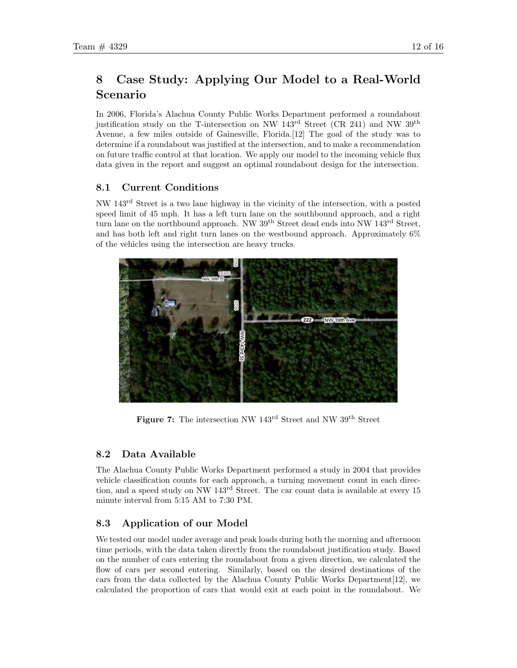# 8 Case Study: Applying Our Model to a Real-World Scenario

In 2006, Florida's Alachua County Public Works Department performed a roundabout justification study on the T-intersection on NW  $143^{\text{rd}}$  Street (CR 241) and NW  $39^{\text{th}}$ Avenue, a few miles outside of Gainesville, Florida.[12] The goal of the study was to determine if a roundabout was justified at the intersection, and to make a recommendation on future traffic control at that location. We apply our model to the incoming vehicle flux data given in the report and suggest an optimal roundabout design for the intersection.

### 8.1 Current Conditions

NW 143rd Street is a two lane highway in the vicinity of the intersection, with a posted speed limit of 45 mph. It has a left turn lane on the southbound approach, and a right turn lane on the northbound approach. NW 39<sup>th</sup> Street dead ends into NW 143<sup>rd</sup> Street, and has both left and right turn lanes on the westbound approach. Approximately 6% of the vehicles using the intersection are heavy trucks.



Figure 7: The intersection NW 143<sup>rd</sup> Street and NW 39<sup>th</sup> Street

## 8.2 Data Available

The Alachua County Public Works Department performed a study in 2004 that provides vehicle classification counts for each approach, a turning movement count in each direction, and a speed study on NW  $143<sup>rd</sup>$  Street. The car count data is available at every 15 minute interval from 5:15 AM to 7:30 PM.

## 8.3 Application of our Model

We tested our model under average and peak loads during both the morning and afternoon time periods, with the data taken directly from the roundabout justification study. Based on the number of cars entering the roundabout from a given direction, we calculated the flow of cars per second entering. Similarly, based on the desired destinations of the cars from the data collected by the Alachua County Public Works Department[12], we calculated the proportion of cars that would exit at each point in the roundabout. We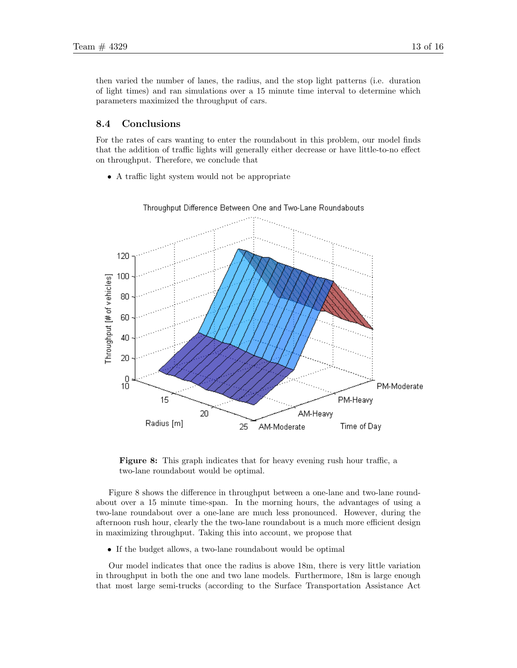then varied the number of lanes, the radius, and the stop light patterns (i.e. duration of light times) and ran simulations over a 15 minute time interval to determine which parameters maximized the throughput of cars.

#### 8.4 Conclusions

For the rates of cars wanting to enter the roundabout in this problem, our model finds that the addition of traffic lights will generally either decrease or have little-to-no effect on throughput. Therefore, we conclude that

• A traffic light system would not be appropriate



#### Throughput Difference Between One and Two-Lane Roundabouts

Figure 8: This graph indicates that for heavy evening rush hour traffic, a two-lane roundabout would be optimal.

Figure 8 shows the difference in throughput between a one-lane and two-lane roundabout over a 15 minute time-span. In the morning hours, the advantages of using a two-lane roundabout over a one-lane are much less pronounced. However, during the afternoon rush hour, clearly the the two-lane roundabout is a much more efficient design in maximizing throughput. Taking this into account, we propose that

• If the budget allows, a two-lane roundabout would be optimal

Our model indicates that once the radius is above 18m, there is very little variation in throughput in both the one and two lane models. Furthermore, 18m is large enough that most large semi-trucks (according to the Surface Transportation Assistance Act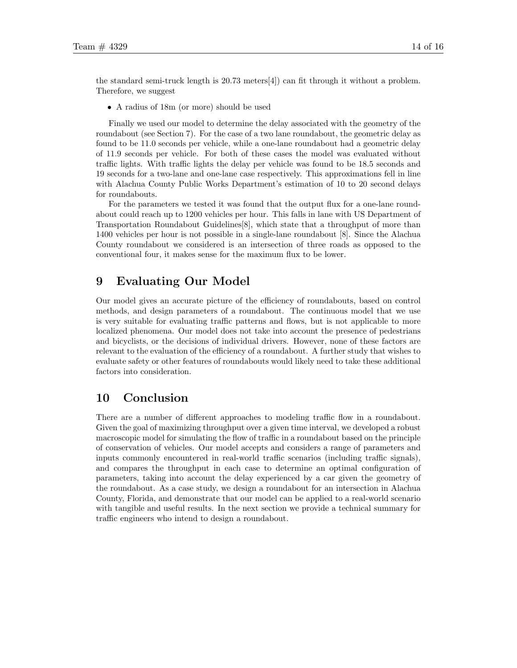the standard semi-truck length is 20.73 meters[4]) can fit through it without a problem. Therefore, we suggest

• A radius of 18m (or more) should be used

Finally we used our model to determine the delay associated with the geometry of the roundabout (see Section 7). For the case of a two lane roundabout, the geometric delay as found to be 11.0 seconds per vehicle, while a one-lane roundabout had a geometric delay of 11.9 seconds per vehicle. For both of these cases the model was evaluated without traffic lights. With traffic lights the delay per vehicle was found to be 18.5 seconds and 19 seconds for a two-lane and one-lane case respectively. This approximations fell in line with Alachua County Public Works Department's estimation of 10 to 20 second delays for roundabouts.

For the parameters we tested it was found that the output flux for a one-lane roundabout could reach up to 1200 vehicles per hour. This falls in lane with US Department of Transportation Roundabout Guidelines[8], which state that a throughput of more than 1400 vehicles per hour is not possible in a single-lane roundabout [8]. Since the Alachua County roundabout we considered is an intersection of three roads as opposed to the conventional four, it makes sense for the maximum flux to be lower.

### 9 Evaluating Our Model

Our model gives an accurate picture of the efficiency of roundabouts, based on control methods, and design parameters of a roundabout. The continuous model that we use is very suitable for evaluating traffic patterns and flows, but is not applicable to more localized phenomena. Our model does not take into account the presence of pedestrians and bicyclists, or the decisions of individual drivers. However, none of these factors are relevant to the evaluation of the efficiency of a roundabout. A further study that wishes to evaluate safety or other features of roundabouts would likely need to take these additional factors into consideration.

### 10 Conclusion

There are a number of different approaches to modeling traffic flow in a roundabout. Given the goal of maximizing throughput over a given time interval, we developed a robust macroscopic model for simulating the flow of traffic in a roundabout based on the principle of conservation of vehicles. Our model accepts and considers a range of parameters and inputs commonly encountered in real-world traffic scenarios (including traffic signals), and compares the throughput in each case to determine an optimal configuration of parameters, taking into account the delay experienced by a car given the geometry of the roundabout. As a case study, we design a roundabout for an intersection in Alachua County, Florida, and demonstrate that our model can be applied to a real-world scenario with tangible and useful results. In the next section we provide a technical summary for traffic engineers who intend to design a roundabout.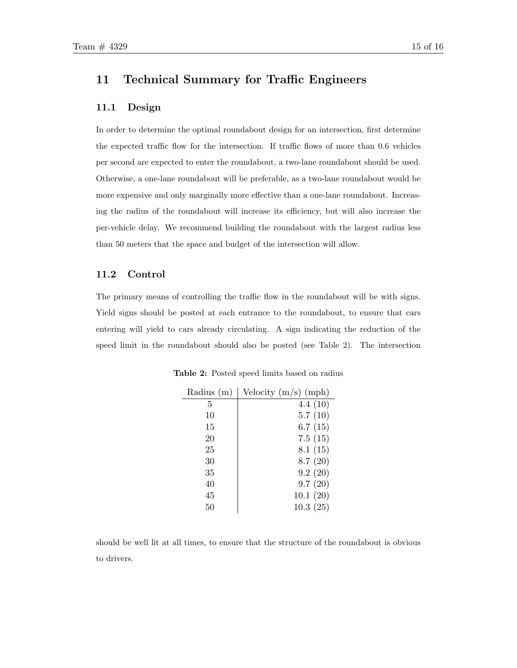## 11 Technical Summary for Traffic Engineers

### 11.1 Design

In order to determine the optimal roundabout design for an intersection, first determine the expected traffic flow for the intersection. If traffic flows of more than 0.6 vehicles per second are expected to enter the roundabout, a two-lane roundabout should be used. Otherwise, a one-lane roundabout will be preferable, as a two-lane roundabout would be more expensive and only marginally more effective than a one-lane roundabout. Increasing the radius of the roundabout will increase its efficiency, but will also increase the per-vehicle delay. We recommend building the roundabout with the largest radius less than 50 meters that the space and budget of the intersection will allow.

#### 11.2 Control

The primary means of controlling the traffic flow in the roundabout will be with signs. Yield signs should be posted at each entrance to the roundabout, to ensure that cars entering will yield to cars already circulating. A sign indicating the reduction of the speed limit in the roundabout should also be posted (see Table 2). The intersection

| Radius $(m)$ | Velocity $(m/s)$ (mph) |
|--------------|------------------------|
| 5            | 4.4(10)                |
| 10           | 5.7(10)                |
| 15           | 6.7(15)                |
| 20           | 7.5(15)                |
| 25           | 8.1(15)                |
| 30           | 8.7(20)                |
| 35           | 9.2(20)                |
| 40           | 9.7(20)                |
| 45           | 10.1(20)               |
| 50           | 10.3(25)               |

Table 2: Posted speed limits based on radius

should be well lit at all times, to ensure that the structure of the roundabout is obvious to drivers.